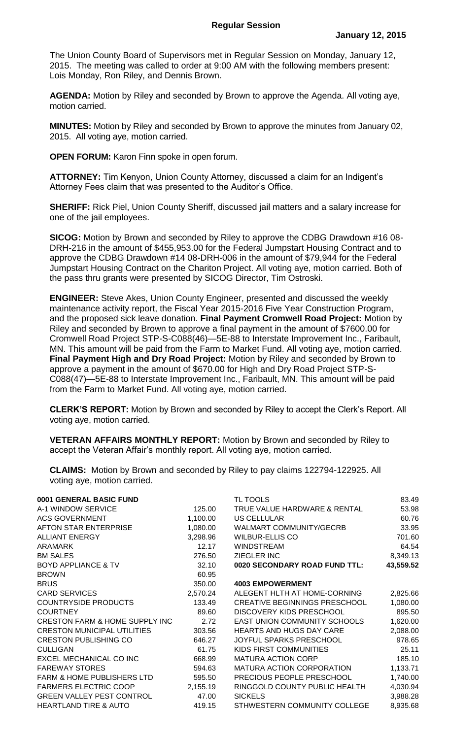The Union County Board of Supervisors met in Regular Session on Monday, January 12, 2015. The meeting was called to order at 9:00 AM with the following members present: Lois Monday, Ron Riley, and Dennis Brown.

**AGENDA:** Motion by Riley and seconded by Brown to approve the Agenda. All voting aye, motion carried.

**MINUTES:** Motion by Riley and seconded by Brown to approve the minutes from January 02, 2015. All voting aye, motion carried.

**OPEN FORUM:** Karon Finn spoke in open forum.

**ATTORNEY:** Tim Kenyon, Union County Attorney, discussed a claim for an Indigent's Attorney Fees claim that was presented to the Auditor's Office.

**SHERIFF:** Rick Piel, Union County Sheriff, discussed jail matters and a salary increase for one of the jail employees.

**SICOG:** Motion by Brown and seconded by Riley to approve the CDBG Drawdown #16 08- DRH-216 in the amount of \$455,953.00 for the Federal Jumpstart Housing Contract and to approve the CDBG Drawdown #14 08-DRH-006 in the amount of \$79,944 for the Federal Jumpstart Housing Contract on the Chariton Project. All voting aye, motion carried. Both of the pass thru grants were presented by SICOG Director, Tim Ostroski.

**ENGINEER:** Steve Akes, Union County Engineer, presented and discussed the weekly maintenance activity report, the Fiscal Year 2015-2016 Five Year Construction Program, and the proposed sick leave donation. **Final Payment Cromwell Road Project:** Motion by Riley and seconded by Brown to approve a final payment in the amount of \$7600.00 for Cromwell Road Project STP-S-C088(46)—5E-88 to Interstate Improvement Inc., Faribault, MN. This amount will be paid from the Farm to Market Fund. All voting aye, motion carried. **Final Payment High and Dry Road Project:** Motion by Riley and seconded by Brown to approve a payment in the amount of \$670.00 for High and Dry Road Project STP-S-C088(47)—5E-88 to Interstate Improvement Inc., Faribault, MN. This amount will be paid from the Farm to Market Fund. All voting aye, motion carried.

**CLERK'S REPORT:** Motion by Brown and seconded by Riley to accept the Clerk's Report. All voting aye, motion carried.

**VETERAN AFFAIRS MONTHLY REPORT:** Motion by Brown and seconded by Riley to accept the Veteran Affair's monthly report. All voting aye, motion carried.

**CLAIMS:** Motion by Brown and seconded by Riley to pay claims 122794-122925. All voting aye, motion carried.

| 0001 GENERAL BASIC FUND                   |          | TL TOOLS                             | 83.49     |
|-------------------------------------------|----------|--------------------------------------|-----------|
| A-1 WINDOW SERVICE                        | 125.00   | TRUE VALUE HARDWARE & RENTAL         | 53.98     |
| <b>ACS GOVERNMENT</b>                     | 1,100.00 | US CELLULAR                          | 60.76     |
| AFTON STAR ENTERPRISE                     | 1,080.00 | WALMART COMMUNITY/GECRB              | 33.95     |
| <b>ALLIANT ENERGY</b>                     | 3,298.96 | <b>WILBUR-ELLIS CO</b>               | 701.60    |
| <b>ARAMARK</b>                            | 12.17    | <b>WINDSTREAM</b>                    | 64.54     |
| <b>BM SALES</b>                           | 276.50   | <b>ZIEGLER INC</b>                   | 8,349.13  |
| <b>BOYD APPLIANCE &amp; TV</b>            | 32.10    | 0020 SECONDARY ROAD FUND TTL:        | 43,559.52 |
| <b>BROWN</b>                              | 60.95    |                                      |           |
| <b>BRUS</b>                               | 350.00   | <b>4003 EMPOWERMENT</b>              |           |
| <b>CARD SERVICES</b>                      | 2,570.24 | ALEGENT HLTH AT HOME-CORNING         | 2,825.66  |
| <b>COUNTRYSIDE PRODUCTS</b>               | 133.49   | <b>CREATIVE BEGINNINGS PRESCHOOL</b> | 1,080.00  |
| <b>COURTNEY</b>                           | 89.60    | DISCOVERY KIDS PRESCHOOL             | 895.50    |
| <b>CRESTON FARM &amp; HOME SUPPLY INC</b> | 2.72     | EAST UNION COMMUNITY SCHOOLS         | 1,620.00  |
| <b>CRESTON MUNICIPAL UTILITIES</b>        | 303.56   | <b>HEARTS AND HUGS DAY CARE</b>      | 2,088.00  |
| <b>CRESTON PUBLISHING CO</b>              | 646.27   | <b>JOYFUL SPARKS PRESCHOOL</b>       | 978.65    |
| <b>CULLIGAN</b>                           | 61.75    | KIDS FIRST COMMUNITIES               | 25.11     |
| EXCEL MECHANICAL CO INC                   | 668.99   | <b>MATURA ACTION CORP</b>            | 185.10    |
| <b>FAREWAY STORES</b>                     | 594.63   | <b>MATURA ACTION CORPORATION</b>     | 1,133.71  |
| <b>FARM &amp; HOME PUBLISHERS LTD</b>     | 595.50   | PRECIOUS PEOPLE PRESCHOOL            | 1,740.00  |
| <b>FARMERS ELECTRIC COOP</b>              | 2,155.19 | RINGGOLD COUNTY PUBLIC HEALTH        | 4,030.94  |
| <b>GREEN VALLEY PEST CONTROL</b>          | 47.00    | <b>SICKELS</b>                       | 3,988.28  |
| <b>HEARTLAND TIRE &amp; AUTO</b>          | 419.15   | STHWESTERN COMMUNITY COLLEGE         | 8,935.68  |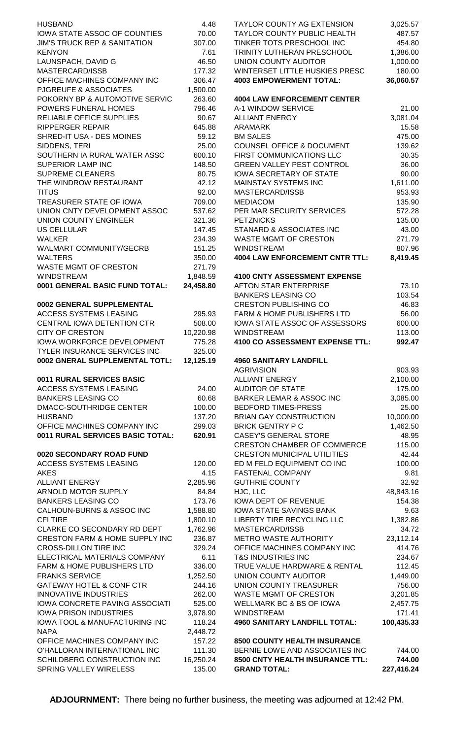| <b>HUSBAND</b>                          | 4.48      | <b>TAYLOR COUNTY AG EXTENSION</b>     | 3,025.57   |
|-----------------------------------------|-----------|---------------------------------------|------------|
| IOWA STATE ASSOC OF COUNTIES            | 70.00     | TAYLOR COUNTY PUBLIC HEALTH           | 487.57     |
| <b>JIM'S TRUCK REP &amp; SANITATION</b> | 307.00    | TINKER TOTS PRESCHOOL INC             | 454.80     |
| <b>KENYON</b>                           | 7.61      | TRINITY LUTHERAN PRESCHOOL            | 1,386.00   |
|                                         |           |                                       |            |
| LAUNSPACH, DAVID G                      | 46.50     | UNION COUNTY AUDITOR                  | 1,000.00   |
| MASTERCARD/ISSB                         | 177.32    | WINTERSET LITTLE HUSKIES PRESC        | 180.00     |
| OFFICE MACHINES COMPANY INC             | 306.47    | <b>4003 EMPOWERMENT TOTAL:</b>        | 36,060.57  |
| <b>PJGREUFE &amp; ASSOCIATES</b>        | 1,500.00  |                                       |            |
| POKORNY BP & AUTOMOTIVE SERVIC          | 263.60    | <b>4004 LAW ENFORCEMENT CENTER</b>    |            |
| <b>POWERS FUNERAL HOMES</b>             | 796.46    | A-1 WINDOW SERVICE                    | 21.00      |
| RELIABLE OFFICE SUPPLIES                | 90.67     | <b>ALLIANT ENERGY</b>                 | 3,081.04   |
| <b>RIPPERGER REPAIR</b>                 | 645.88    |                                       | 15.58      |
|                                         |           | <b>ARAMARK</b>                        |            |
| SHRED-IT USA - DES MOINES               | 59.12     | <b>BM SALES</b>                       | 475.00     |
| SIDDENS, TERI                           | 25.00     | <b>COUNSEL OFFICE &amp; DOCUMENT</b>  | 139.62     |
| SOUTHERN IA RURAL WATER ASSC            | 600.10    | FIRST COMMUNICATIONS LLC              | 30.35      |
| <b>SUPERIOR LAMP INC</b>                | 148.50    | <b>GREEN VALLEY PEST CONTROL</b>      | 36.00      |
| <b>SUPREME CLEANERS</b>                 | 80.75     | <b>IOWA SECRETARY OF STATE</b>        | 90.00      |
| THE WINDROW RESTAURANT                  | 42.12     | <b>MAINSTAY SYSTEMS INC</b>           | 1,611.00   |
| <b>TITUS</b>                            | 92.00     | MASTERCARD/ISSB                       | 953.93     |
| TREASURER STATE OF IOWA                 | 709.00    | <b>MEDIACOM</b>                       | 135.90     |
|                                         |           |                                       |            |
| UNION CNTY DEVELOPMENT ASSOC            | 537.62    | PER MAR SECURITY SERVICES             | 572.28     |
| <b>UNION COUNTY ENGINEER</b>            | 321.36    | <b>PETZNICKS</b>                      | 135.00     |
| <b>US CELLULAR</b>                      | 147.45    | STANARD & ASSOCIATES INC              | 43.00      |
| <b>WALKER</b>                           | 234.39    | <b>WASTE MGMT OF CRESTON</b>          | 271.79     |
| <b>WALMART COMMUNITY/GECRB</b>          | 151.25    | <b>WINDSTREAM</b>                     | 807.96     |
| <b>WALTERS</b>                          | 350.00    | <b>4004 LAW ENFORCEMENT CNTR TTL:</b> | 8,419.45   |
| <b>WASTE MGMT OF CRESTON</b>            | 271.79    |                                       |            |
| <b>WINDSTREAM</b>                       | 1,848.59  | <b>4100 CNTY ASSESSMENT EXPENSE</b>   |            |
|                                         |           |                                       |            |
| 0001 GENERAL BASIC FUND TOTAL:          | 24,458.80 | <b>AFTON STAR ENTERPRISE</b>          | 73.10      |
|                                         |           | <b>BANKERS LEASING CO</b>             | 103.54     |
| 0002 GENERAL SUPPLEMENTAL               |           | <b>CRESTON PUBLISHING CO</b>          | 46.83      |
| <b>ACCESS SYSTEMS LEASING</b>           | 295.93    | <b>FARM &amp; HOME PUBLISHERS LTD</b> | 56.00      |
| CENTRAL IOWA DETENTION CTR              | 508.00    | IOWA STATE ASSOC OF ASSESSORS         | 600.00     |
| <b>CITY OF CRESTON</b>                  | 10,220.98 | <b>WINDSTREAM</b>                     | 113.00     |
| IOWA WORKFORCE DEVELOPMENT              | 775.28    | 4100 CO ASSESSMENT EXPENSE TTL:       | 992.47     |
| <b>TYLER INSURANCE SERVICES INC</b>     | 325.00    |                                       |            |
| 0002 GNERAL SUPPLEMENTAL TOTL:          | 12,125.19 | <b>4960 SANITARY LANDFILL</b>         |            |
|                                         |           | <b>AGRIVISION</b>                     | 903.93     |
| 0011 RURAL SERVICES BASIC               |           | <b>ALLIANT ENERGY</b>                 | 2,100.00   |
|                                         |           |                                       |            |
| ACCESS SYSTEMS LEASING                  | 24.00     | <b>AUDITOR OF STATE</b>               | 175.00     |
| <b>BANKERS LEASING CO</b>               | 60.68     | <b>BARKER LEMAR &amp; ASSOC INC</b>   | 3,085.00   |
| <b>DMACC-SOUTHRIDGE CENTER</b>          | 100.00    | <b>BEDFORD TIMES-PRESS</b>            | 25.00      |
| <b>HUSBAND</b>                          | 137.20    | <b>BRIAN GAY CONSTRUCTION</b>         | 10,000.00  |
| OFFICE MACHINES COMPANY INC             | 299.03    | <b>BRICK GENTRY P C</b>               | 1,462.50   |
| 0011 RURAL SERVICES BASIC TOTAL:        | 620.91    | <b>CASEY'S GENERAL STORE</b>          | 48.95      |
|                                         |           | <b>CRESTON CHAMBER OF COMMERCE</b>    | 115.00     |
| 0020 SECONDARY ROAD FUND                |           | <b>CRESTON MUNICIPAL UTILITIES</b>    | 42.44      |
| <b>ACCESS SYSTEMS LEASING</b>           | 120.00    | ED M FELD EQUIPMENT CO INC            | 100.00     |
|                                         |           |                                       |            |
| <b>AKES</b>                             | 4.15      | <b>FASTENAL COMPANY</b>               | 9.81       |
| <b>ALLIANT ENERGY</b>                   | 2,285.96  | <b>GUTHRIE COUNTY</b>                 | 32.92      |
| ARNOLD MOTOR SUPPLY                     | 84.84     | HJC, LLC                              | 48,843.16  |
| <b>BANKERS LEASING CO</b>               | 173.76    | <b>IOWA DEPT OF REVENUE</b>           | 154.38     |
| CALHOUN-BURNS & ASSOC INC               | 1,588.80  | IOWA STATE SAVINGS BANK               | 9.63       |
| <b>CFI TIRE</b>                         | 1,800.10  | LIBERTY TIRE RECYCLING LLC            | 1,382.86   |
| CLARKE CO SECONDARY RD DEPT             | 1,762.96  | MASTERCARD/ISSB                       | 34.72      |
| CRESTON FARM & HOME SUPPLY INC          | 236.87    | <b>METRO WASTE AUTHORITY</b>          | 23,112.14  |
| <b>CROSS-DILLON TIRE INC</b>            | 329.24    | OFFICE MACHINES COMPANY INC           | 414.76     |
|                                         |           |                                       |            |
| ELECTRICAL MATERIALS COMPANY            | 6.11      | <b>T&amp;S INDUSTRIES INC</b>         | 234.67     |
| FARM & HOME PUBLISHERS LTD              | 336.00    | TRUE VALUE HARDWARE & RENTAL          | 112.45     |
| <b>FRANKS SERVICE</b>                   | 1,252.50  | UNION COUNTY AUDITOR                  | 1,449.00   |
| <b>GATEWAY HOTEL &amp; CONF CTR</b>     | 244.16    | <b>UNION COUNTY TREASURER</b>         | 756.00     |
| <b>INNOVATIVE INDUSTRIES</b>            | 262.00    | WASTE MGMT OF CRESTON                 | 3,201.85   |
| IOWA CONCRETE PAVING ASSOCIATI          | 525.00    | WELLMARK BC & BS OF IOWA              | 2,457.75   |
| <b>IOWA PRISON INDUSTRIES</b>           | 3,978.90  | <b>WINDSTREAM</b>                     | 171.41     |
| IOWA TOOL & MANUFACTURING INC           | 118.24    | <b>4960 SANITARY LANDFILL TOTAL:</b>  | 100,435.33 |
| <b>NAPA</b>                             | 2,448.72  |                                       |            |
|                                         |           | 8500 COUNTY HEALTH INSURANCE          |            |
| OFFICE MACHINES COMPANY INC             | 157.22    |                                       |            |
| O'HALLORAN INTERNATIONAL INC            | 111.30    | BERNIE LOWE AND ASSOCIATES INC        | 744.00     |
| SCHILDBERG CONSTRUCTION INC             | 16,250.24 | 8500 CNTY HEALTH INSURANCE TTL:       | 744.00     |
| SPRING VALLEY WIRELESS                  | 135.00    | <b>GRAND TOTAL:</b>                   | 227,416.24 |

|                                                              | 3,025.57          |
|--------------------------------------------------------------|-------------------|
| TAYLOR COUNTY PUBLIC HEALTH                                  | 487.57            |
| TINKER TOTS PRESCHOOL INC                                    | 454.80            |
| TRINITY LUTHERAN PRESCHOOL                                   | 1,386.00          |
| <b>UNION COUNTY AUDITOR</b>                                  | 1,000.00          |
| WINTERSET LITTLE HUSKIES PRESC                               | 180.00            |
| <b>4003 EMPOWERMENT TOTAL:</b>                               | 36,060.57         |
| <b>4004 LAW ENFORCEMENT CENTER</b>                           |                   |
| A-1 WINDOW SERVICE                                           | 21.00             |
| <b>ALLIANT ENERGY</b>                                        | 3,081.04          |
| <b>ARAMARK</b>                                               | 15.58             |
| <b>BM SALES</b>                                              | 475.00            |
| <b>COUNSEL OFFICE &amp; DOCUMENT</b>                         | 139.62            |
| FIRST COMMUNICATIONS LLC                                     | 30.35             |
| <b>GREEN VALLEY PEST CONTROL</b>                             | 36.00             |
| <b>IOWA SECRETARY OF STATE</b>                               | 90.00             |
| <b>MAINSTAY SYSTEMS INC</b>                                  | 1,611.00          |
| MASTERCARD/ISSB                                              | 953.93            |
| <b>MEDIACOM</b>                                              | 135.90            |
| PER MAR SECURITY SERVICES                                    | 572.28            |
| <b>PETZNICKS</b><br>STANARD & ASSOCIATES INC                 | 135.00<br>43.00   |
| WASTE MGMT OF CRESTON                                        | 271.79            |
| <b>WINDSTREAM</b>                                            | 807.96            |
| <b>4004 LAW ENFORCEMENT CNTR TTL:</b>                        | 8,419.45          |
|                                                              |                   |
| <b>4100 CNTY ASSESSMENT EXPENSE</b>                          |                   |
| <b>AFTON STAR ENTERPRISE</b>                                 | 73.10             |
| <b>BANKERS LEASING CO</b>                                    | 103.54            |
| <b>CRESTON PUBLISHING CO</b>                                 | 46.83             |
| <b>FARM &amp; HOME PUBLISHERS LTD</b>                        | 56.00             |
| IOWA STATE ASSOC OF ASSESSORS                                | 600.00            |
| <b>WINDSTREAM</b>                                            | 113.00            |
| <b>4100 CO ASSESSMENT EXPENSE TTL:</b>                       | 992.47            |
| <b>4960 SANITARY LANDFILL</b>                                |                   |
| <b>AGRIVISION</b>                                            | 903.93            |
| <b>ALLIANT ENERGY</b>                                        | 2,100.00          |
| <b>AUDITOR OF STATE</b>                                      | 175.00            |
|                                                              |                   |
| <b>BARKER LEMAR &amp; ASSOC INC</b>                          | 3,085.00          |
| <b>BEDFORD TIMES-PRESS</b>                                   | 25.00             |
| <b>BRIAN GAY CONSTRUCTION</b>                                | 10,000.00         |
| <b>BRICK GENTRY P C</b>                                      | 1,462.50          |
| <b>CASEY'S GENERAL STORE</b>                                 | 48.95             |
| CRESTON CHAMBER OF COMMERCE                                  | 115.00            |
| <b>CRESTON MUNICIPAL UTILITIES</b>                           | 42.44             |
| ED M FELD EQUIPMENT CO INC                                   | 100.00            |
| <b>FASTENAL COMPANY</b>                                      | 9.81              |
| <b>GUTHRIE COUNTY</b>                                        | 32.92             |
| HJC, LLC                                                     | 48,843.16         |
| <b>IOWA DEPT OF REVENUE</b>                                  | 154.38            |
| <b>IOWA STATE SAVINGS BANK</b><br>LIBERTY TIRE RECYCLING LLC | 9.63              |
| MASTERCARD/ISSB                                              | 1,382.86<br>34.72 |
| <b>METRO WASTE AUTHORITY</b>                                 | 23,112.14         |
| OFFICE MACHINES COMPANY INC                                  | 414.76            |
| <b>T&amp;S INDUSTRIES INC</b>                                | 234.67            |
| TRUE VALUE HARDWARE & RENTAL                                 | 112.45            |
| UNION COUNTY AUDITOR                                         | 1,449.00          |
| <b>UNION COUNTY TREASURER</b>                                | 756.00            |
| WASTE MGMT OF CRESTON                                        | 3,201.85          |
| <b>WELLMARK BC &amp; BS OF IOWA</b>                          | 2,457.75          |
| <b>WINDSTREAM</b>                                            | 171.41            |
| 4960 SANITARY LANDFILL TOTAL:                                | 100,435.33        |
| <b>8500 COUNTY HEALTH INSURANCE</b>                          |                   |
| BERNIE LOWE AND ASSOCIATES INC                               | 744.00            |

**ADJOURNMENT:** There being no further business, the meeting was adjourned at 12:42 PM.